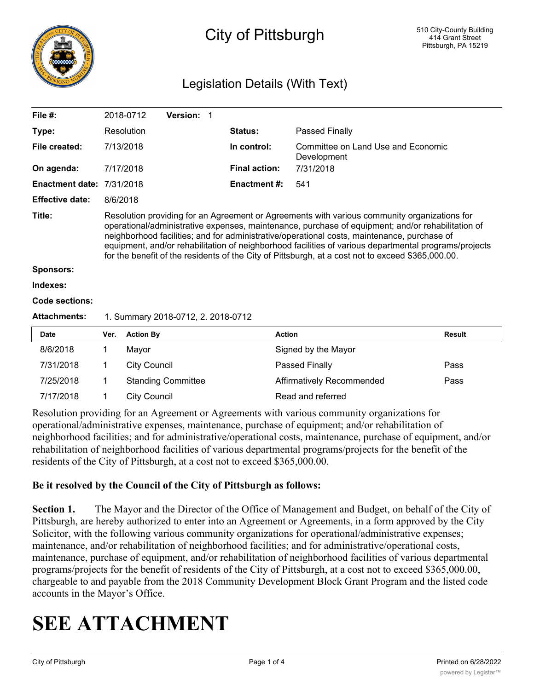

# City of Pittsburgh

# Legislation Details (With Text)

| File #:                          |                                                                                                                                                                                                                                                                                                                                                                                                                                                                                                                | 2018-0712                          | Version: 1                |                      |                                                   |               |  |  |
|----------------------------------|----------------------------------------------------------------------------------------------------------------------------------------------------------------------------------------------------------------------------------------------------------------------------------------------------------------------------------------------------------------------------------------------------------------------------------------------------------------------------------------------------------------|------------------------------------|---------------------------|----------------------|---------------------------------------------------|---------------|--|--|
| Type:                            |                                                                                                                                                                                                                                                                                                                                                                                                                                                                                                                | Resolution                         |                           | <b>Status:</b>       | Passed Finally                                    |               |  |  |
| File created:                    |                                                                                                                                                                                                                                                                                                                                                                                                                                                                                                                | 7/13/2018                          |                           | In control:          | Committee on Land Use and Economic<br>Development |               |  |  |
| On agenda:                       |                                                                                                                                                                                                                                                                                                                                                                                                                                                                                                                | 7/17/2018                          |                           | <b>Final action:</b> | 7/31/2018                                         |               |  |  |
| <b>Enactment date: 7/31/2018</b> |                                                                                                                                                                                                                                                                                                                                                                                                                                                                                                                |                                    |                           | <b>Enactment #:</b>  | 541                                               |               |  |  |
| <b>Effective date:</b>           | 8/6/2018                                                                                                                                                                                                                                                                                                                                                                                                                                                                                                       |                                    |                           |                      |                                                   |               |  |  |
| Title:<br><b>Sponsors:</b>       | Resolution providing for an Agreement or Agreements with various community organizations for<br>operational/administrative expenses, maintenance, purchase of equipment; and/or rehabilitation of<br>neighborhood facilities; and for administrative/operational costs, maintenance, purchase of<br>equipment, and/or rehabilitation of neighborhood facilities of various departmental programs/projects<br>for the benefit of the residents of the City of Pittsburgh, at a cost not to exceed \$365,000.00. |                                    |                           |                      |                                                   |               |  |  |
| Indexes:                         |                                                                                                                                                                                                                                                                                                                                                                                                                                                                                                                |                                    |                           |                      |                                                   |               |  |  |
| Code sections:                   |                                                                                                                                                                                                                                                                                                                                                                                                                                                                                                                |                                    |                           |                      |                                                   |               |  |  |
| <b>Attachments:</b>              |                                                                                                                                                                                                                                                                                                                                                                                                                                                                                                                | 1. Summary 2018-0712, 2. 2018-0712 |                           |                      |                                                   |               |  |  |
| Date                             | Ver.                                                                                                                                                                                                                                                                                                                                                                                                                                                                                                           | <b>Action By</b>                   |                           |                      | <b>Action</b>                                     | <b>Result</b> |  |  |
| 8/6/2018                         |                                                                                                                                                                                                                                                                                                                                                                                                                                                                                                                | Mayor                              |                           |                      | Signed by the Mayor                               |               |  |  |
| 7/31/2018                        | 1                                                                                                                                                                                                                                                                                                                                                                                                                                                                                                              | <b>City Council</b>                |                           |                      | Passed Finally                                    | Pass          |  |  |
| 7/25/2018                        | 1                                                                                                                                                                                                                                                                                                                                                                                                                                                                                                              |                                    | <b>Standing Committee</b> |                      | Affirmatively Recommended                         | Pass          |  |  |

Resolution providing for an Agreement or Agreements with various community organizations for operational/administrative expenses, maintenance, purchase of equipment; and/or rehabilitation of neighborhood facilities; and for administrative/operational costs, maintenance, purchase of equipment, and/or rehabilitation of neighborhood facilities of various departmental programs/projects for the benefit of the residents of the City of Pittsburgh, at a cost not to exceed \$365,000.00.

### **Be it resolved by the Council of the City of Pittsburgh as follows:**

7/17/2018 1 City Council Read and referred

**Section 1.** The Mayor and the Director of the Office of Management and Budget, on behalf of the City of Pittsburgh, are hereby authorized to enter into an Agreement or Agreements, in a form approved by the City Solicitor, with the following various community organizations for operational/administrative expenses; maintenance, and/or rehabilitation of neighborhood facilities; and for administrative/operational costs, maintenance, purchase of equipment, and/or rehabilitation of neighborhood facilities of various departmental programs/projects for the benefit of residents of the City of Pittsburgh, at a cost not to exceed \$365,000.00, chargeable to and payable from the 2018 Community Development Block Grant Program and the listed code accounts in the Mayor's Office.

# **SEE ATTACHMENT**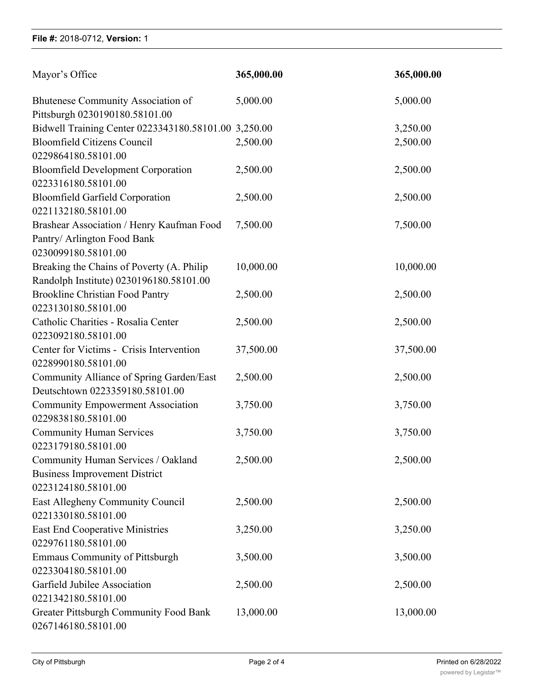### **File #:** 2018-0712, **Version:** 1

| Mayor's Office                                                       | 365,000.00 | 365,000.00 |
|----------------------------------------------------------------------|------------|------------|
| Bhutenese Community Association of<br>Pittsburgh 0230190180.58101.00 | 5,000.00   | 5,000.00   |
| Bidwell Training Center 0223343180.58101.00 3,250.00                 |            | 3,250.00   |
| <b>Bloomfield Citizens Council</b>                                   | 2,500.00   | 2,500.00   |
| 0229864180.58101.00                                                  |            |            |
| <b>Bloomfield Development Corporation</b>                            | 2,500.00   | 2,500.00   |
| 0223316180.58101.00                                                  |            |            |
| <b>Bloomfield Garfield Corporation</b><br>0221132180.58101.00        | 2,500.00   | 2,500.00   |
| Brashear Association / Henry Kaufman Food                            | 7,500.00   | 7,500.00   |
| Pantry/ Arlington Food Bank                                          |            |            |
| 0230099180.58101.00                                                  |            |            |
| Breaking the Chains of Poverty (A. Philip                            | 10,000.00  | 10,000.00  |
| Randolph Institute) 0230196180.58101.00                              |            |            |
| <b>Brookline Christian Food Pantry</b>                               | 2,500.00   | 2,500.00   |
| 0223130180.58101.00                                                  |            |            |
| Catholic Charities - Rosalia Center                                  | 2,500.00   | 2,500.00   |
| 0223092180.58101.00                                                  |            |            |
| Center for Victims - Crisis Intervention                             | 37,500.00  | 37,500.00  |
| 0228990180.58101.00                                                  |            |            |
| Community Alliance of Spring Garden/East                             | 2,500.00   | 2,500.00   |
| Deutschtown 0223359180.58101.00                                      |            |            |
| <b>Community Empowerment Association</b><br>0229838180.58101.00      | 3,750.00   | 3,750.00   |
| <b>Community Human Services</b>                                      | 3,750.00   | 3,750.00   |
| 0223179180.58101.00                                                  |            |            |
| Community Human Services / Oakland                                   | 2,500.00   | 2,500.00   |
| <b>Business Improvement District</b>                                 |            |            |
| 0223124180.58101.00                                                  |            |            |
| East Allegheny Community Council                                     | 2,500.00   | 2,500.00   |
| 0221330180.58101.00                                                  |            |            |
| <b>East End Cooperative Ministries</b>                               | 3,250.00   | 3,250.00   |
| 0229761180.58101.00                                                  |            |            |
| <b>Emmaus Community of Pittsburgh</b>                                | 3,500.00   | 3,500.00   |
| 0223304180.58101.00                                                  |            |            |
| Garfield Jubilee Association                                         | 2,500.00   | 2,500.00   |
| 0221342180.58101.00                                                  |            |            |
| Greater Pittsburgh Community Food Bank<br>0267146180.58101.00        | 13,000.00  | 13,000.00  |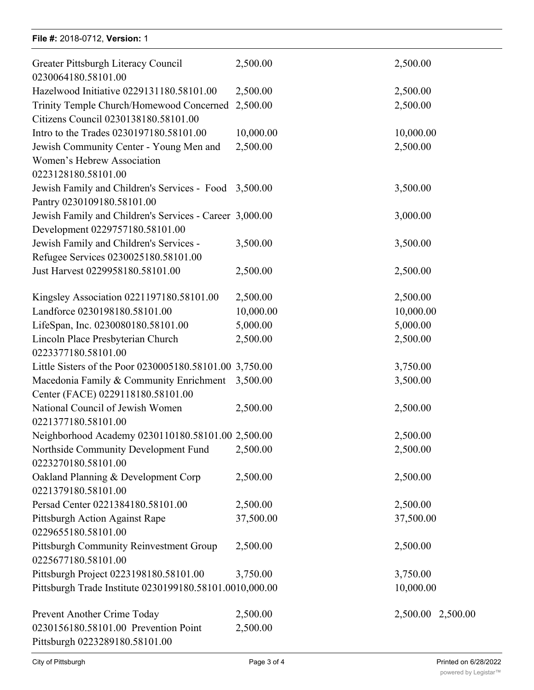## **File #:** 2018-0712, Version: 1

| Greater Pittsburgh Literacy Council<br>0230064180.58101.00                                   | 2,500.00  | 2,500.00          |
|----------------------------------------------------------------------------------------------|-----------|-------------------|
| Hazelwood Initiative 0229131180.58101.00                                                     | 2,500.00  | 2,500.00          |
| Trinity Temple Church/Homewood Concerned 2,500.00<br>Citizens Council 0230138180.58101.00    |           | 2,500.00          |
| Intro to the Trades 0230197180.58101.00                                                      | 10,000.00 | 10,000.00         |
| Jewish Community Center - Young Men and<br>Women's Hebrew Association<br>0223128180.58101.00 | 2,500.00  | 2,500.00          |
| Jewish Family and Children's Services - Food 3,500.00<br>Pantry 0230109180.58101.00          |           | 3,500.00          |
| Jewish Family and Children's Services - Career 3,000.00<br>Development 0229757180.58101.00   |           | 3,000.00          |
| Jewish Family and Children's Services -<br>Refugee Services 0230025180.58101.00              | 3,500.00  | 3,500.00          |
| Just Harvest 0229958180.58101.00                                                             | 2,500.00  | 2,500.00          |
| Kingsley Association 0221197180.58101.00                                                     | 2,500.00  | 2,500.00          |
| Landforce 0230198180.58101.00                                                                | 10,000.00 | 10,000.00         |
| LifeSpan, Inc. 0230080180.58101.00                                                           | 5,000.00  | 5,000.00          |
| Lincoln Place Presbyterian Church<br>0223377180.58101.00                                     | 2,500.00  | 2,500.00          |
| Little Sisters of the Poor 0230005180.58101.00 3,750.00                                      |           | 3,750.00          |
| Macedonia Family & Community Enrichment<br>Center (FACE) 0229118180.58101.00                 | 3,500.00  | 3,500.00          |
| National Council of Jewish Women<br>0221377180.58101.00                                      | 2,500.00  | 2,500.00          |
| Neighborhood Academy 0230110180.58101.00 2,500.00                                            |           | 2,500.00          |
| Northside Community Development Fund<br>0223270180.58101.00                                  | 2,500.00  | 2,500.00          |
| Oakland Planning & Development Corp<br>0221379180.58101.00                                   | 2,500.00  | 2,500.00          |
| Persad Center 0221384180.58101.00                                                            | 2,500.00  | 2,500.00          |
| Pittsburgh Action Against Rape<br>0229655180.58101.00                                        | 37,500.00 | 37,500.00         |
| Pittsburgh Community Reinvestment Group<br>0225677180.58101.00                               | 2,500.00  | 2,500.00          |
| Pittsburgh Project 0223198180.58101.00                                                       | 3,750.00  | 3,750.00          |
| Pittsburgh Trade Institute 0230199180.58101.0010,000.00                                      |           | 10,000.00         |
| Prevent Another Crime Today                                                                  | 2,500.00  | 2,500.00 2,500.00 |
| 0230156180.58101.00 Prevention Point<br>Pittsburgh 0223289180.58101.00                       | 2,500.00  |                   |